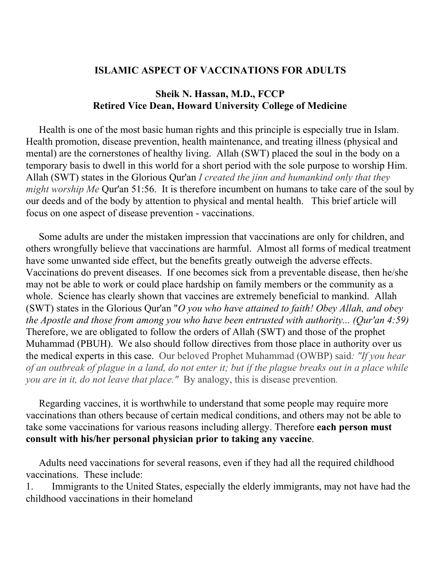## **ISLAMIC ASPECT OF VACCINATIONS FOR ADULTS**

## **Sheik N. Hassan, M.D., FCCP Retired Vice Dean, Howard University College of Medicine**

Health is one of the most basic human rights and this principle is especially true in Islam. Health promotion, disease prevention, health maintenance, and treating illness (physical and mental) are the cornerstones of healthy living. Allah (SWT) placed the soul in the body on a temporary basis to dwell in this world for a short period with the sole purpose to worship Him. Allah (SWT) states in the Glorious Qur'an *I created the jinn and humankind only that they might worship Me* Qur'an 51:56. It is therefore incumbent on humans to take care of the soul by our deeds and of the body by attention to physical and mental health. This brief article will focus on one aspect of disease prevention - vaccinations.

Some adults are under the mistaken impression that vaccinations are only for children, and others wrongfully believe that vaccinations are harmful. Almost all forms of medical treatment have some unwanted side effect, but the benefits greatly outweigh the adverse effects. Vaccinations do prevent diseases. If one becomes sick from a preventable disease, then he/she may not be able to work or could place hardship on family members or the community as a whole. Science has clearly shown that vaccines are extremely beneficial to mankind. Allah (SWT) states in the Glorious Qur'an "*O you who have attained to faith! Obey Allah, and obey the Apostle and those from among you who have been entrusted with authority... (Qur'an 4:59)* Therefore, we are obligated to follow the orders of Allah (SWT) and those of the prophet Muhammad (PBUH). We also should follow directives from those place in authority over us the medical experts in this case. Our beloved Prophet Muhammad (OWBP) said*: "If you hear* of an outbreak of plague in a land, do not enter it; but if the plague breaks out in a place while *you are in it, do not leave that place."* By analogy, this is disease prevention*.*

Regarding vaccines, it is worthwhile to understand that some people may require more vaccinations than others because of certain medical conditions, and others may not be able to take some vaccinations for various reasons including allergy. Therefore **each person must consult with his/her personal physician prior to taking any vaccine**.

Adults need vaccinations for several reasons, even if they had all the required childhood vaccinations. These include:

1. Immigrants to the United States, especially the elderly immigrants, may not have had the childhood vaccinations in their homeland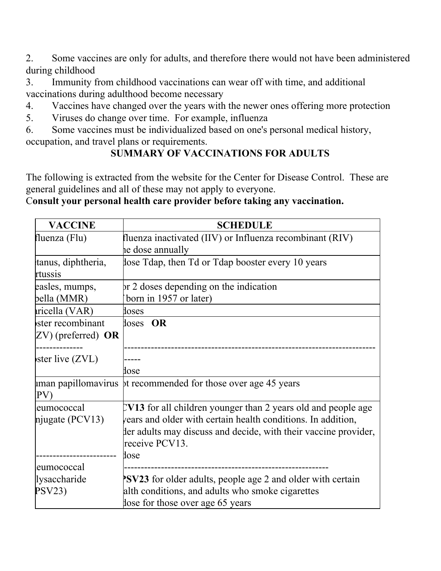2. Some vaccines are only for adults, and therefore there would not have been administered during childhood

3. Immunity from childhood vaccinations can wear off with time, and additional vaccinations during adulthood become necessary

- 4. Vaccines have changed over the years with the newer ones offering more protection
- 5. Viruses do change over time. For example, influenza

6. Some vaccines must be individualized based on one's personal medical history, occupation, and travel plans or requirements.

## **SUMMARY OF VACCINATIONS FOR ADULTS**

The following is extracted from the website for the Center for Disease Control. These are general guidelines and all of these may not apply to everyone.

## C**onsult your personal health care provider before taking any vaccination.**

| <b>VACCINE</b>                               | <b>SCHEDULE</b>                                                                                                                                                                                                               |
|----------------------------------------------|-------------------------------------------------------------------------------------------------------------------------------------------------------------------------------------------------------------------------------|
| fluenza (Flu)                                | fluenza inactivated (IIV) or Influenza recombinant (RIV)<br>he dose annually                                                                                                                                                  |
| tanus, diphtheria,<br>rtussis                | flose Tdap, then Td or Tdap booster every 10 years                                                                                                                                                                            |
| easles, mumps,<br>bella (MMR)                | pr 2 doses depending on the indication<br>born in 1957 or later)                                                                                                                                                              |
| tricella (VAR)                               | doses                                                                                                                                                                                                                         |
| ster recombinant<br>$ZV$ ) (preferred) OR    | doses OR                                                                                                                                                                                                                      |
| ster live $(ZVL)$                            | dose                                                                                                                                                                                                                          |
| man papillomavirus<br>PV)                    | pt recommended for those over age 45 years                                                                                                                                                                                    |
| leumococcal<br>njugate ( $PCV13$ )           | $UV13$ for all children younger than 2 years old and people age<br>vears and older with certain health conditions. In addition,<br>ther adults may discuss and decide, with their vaccine provider,<br>receive PCV13.<br>dose |
| leumococcal<br>lysaccharide<br><b>PSV23)</b> | <b>SV23</b> for older adults, people age 2 and older with certain<br>alth conditions, and adults who smoke cigarettes<br>lose for those over age 65 years                                                                     |